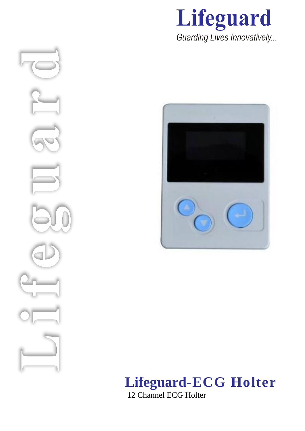



# **Lifeguard-ECG Holter**

12 Channel ECG Holter

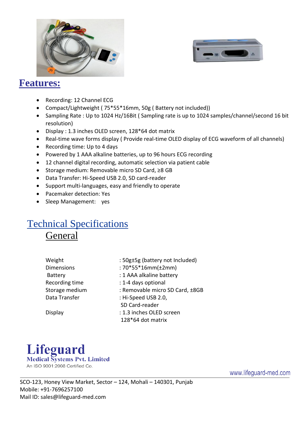



#### **Features:**

- Recording: 12 Channel ECG
- Compact/Lightweight ( 75\*55\*16mm, 50g ( Battery not included))
- Sampling Rate : Up to 1024 Hz/16Bit ( Sampling rate is up to 1024 samples/channel/second 16 bit resolution)
- Display : 1.3 inches OLED screen, 128\*64 dot matrix
- Real-time wave forms display ( Provide real-time OLED display of ECG waveform of all channels)
- Recording time: Up to 4 days
- Powered by 1 AAA alkaline batteries, up to 96 hours ECG recording
- 12 channel digital recording, automatic selection via patient cable
- Storage medium: Removable micro SD Card, ≥8 GB
- Data Transfer: Hi-Speed USB 2.0, SD card-reader
- Support multi-languages, easy and friendly to operate
- Pacemaker detection: Yes
- Sleep Management: yes

### Technical Specifications General

| Weight            | : 50g±5g (battery not Included) |
|-------------------|---------------------------------|
| <b>Dimensions</b> | $:70*55*16mm(\pm2mm)$           |
| <b>Battery</b>    | : 1 AAA alkaline battery        |
| Recording time    | : 1-4 days optional             |
| Storage medium    | : Removable micro SD Card, ±8GB |
| Data Transfer     | : Hi-Speed USB 2.0,             |
|                   | SD Card-reader                  |
| Display           | : 1.3 inches OLED screen        |
|                   | 128*64 dot matrix               |
|                   |                                 |



www.lifeguard-med.com

 SCO-123, Honey View Market, Sector – 124, Mohali – 140301, Punjab Mobile: +91-7696257100 Mail ID: sales@lifeguard-med.com